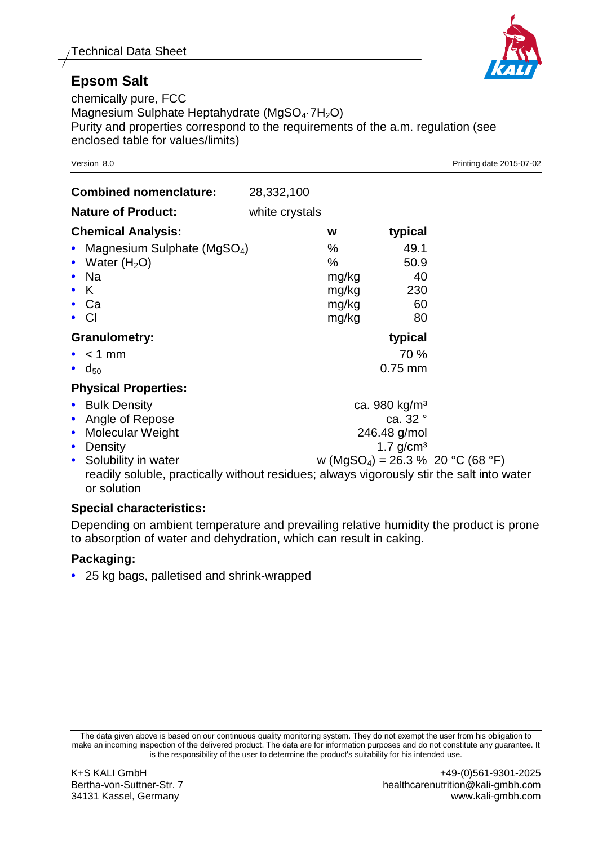## **Epsom Salt**

chemically pure, FCC Magnesium Sulphate Heptahydrate (MgSO<sub>4</sub>.7H<sub>2</sub>O) Purity and properties correspond to the requirements of the a.m. regulation (see enclosed table for values/limits)

| <b>Combined nomenclature:</b>                                                                                                                                   | 28,332,100     |                                                                                                                                                                                                                                |                                       |  |
|-----------------------------------------------------------------------------------------------------------------------------------------------------------------|----------------|--------------------------------------------------------------------------------------------------------------------------------------------------------------------------------------------------------------------------------|---------------------------------------|--|
| <b>Nature of Product:</b>                                                                                                                                       | white crystals |                                                                                                                                                                                                                                |                                       |  |
| <b>Chemical Analysis:</b>                                                                                                                                       |                | W                                                                                                                                                                                                                              | typical                               |  |
| Magnesium Sulphate (MgSO <sub>4</sub> )<br>$\bullet$<br>Water $(H2O)$<br>$\bullet$<br>Na<br>K.<br>Ca<br>$\bullet$ CI                                            |                | %<br>%<br>mg/kg<br>mg/kg<br>mg/kg<br>mg/kg                                                                                                                                                                                     | 49.1<br>50.9<br>40<br>230<br>60<br>80 |  |
| <b>Granulometry:</b>                                                                                                                                            |                |                                                                                                                                                                                                                                | typical                               |  |
| $\bullet$ < 1 mm<br>$\bullet$ d <sub>50</sub>                                                                                                                   |                |                                                                                                                                                                                                                                | 70 %<br>$0.75$ mm                     |  |
| <b>Physical Properties:</b>                                                                                                                                     |                |                                                                                                                                                                                                                                |                                       |  |
| <b>Bulk Density</b><br>$\bullet$<br>Angle of Repose<br>Molecular Weight<br>$\bullet$<br>Density<br>$\bullet$<br>Solubility in water<br>$\bullet$<br>or solution |                | ca. 980 kg/m <sup>3</sup><br>ca. 32 °<br>246.48 g/mol<br>$1.7$ g/cm <sup>3</sup><br>w (MgSO <sub>4</sub> ) = 26.3 % 20 °C (68 °F)<br>readily soluble, practically without residues; always vigorously stir the salt into water |                                       |  |

## **Special characteristics:**

Depending on ambient temperature and prevailing relative humidity the product is prone to absorption of water and dehydration, which can result in caking.

## **Packaging:**

**•** 25 kg bags, palletised and shrink-wrapped



Version 8.0 Printing date 2015-07-02

The data given above is based on our continuous quality monitoring system. They do not exempt the user from his obligation to make an incoming inspection of the delivered product. The data are for information purposes and do not constitute any guarantee. It is the responsibility of the user to determine the product's suitability for his intended use.